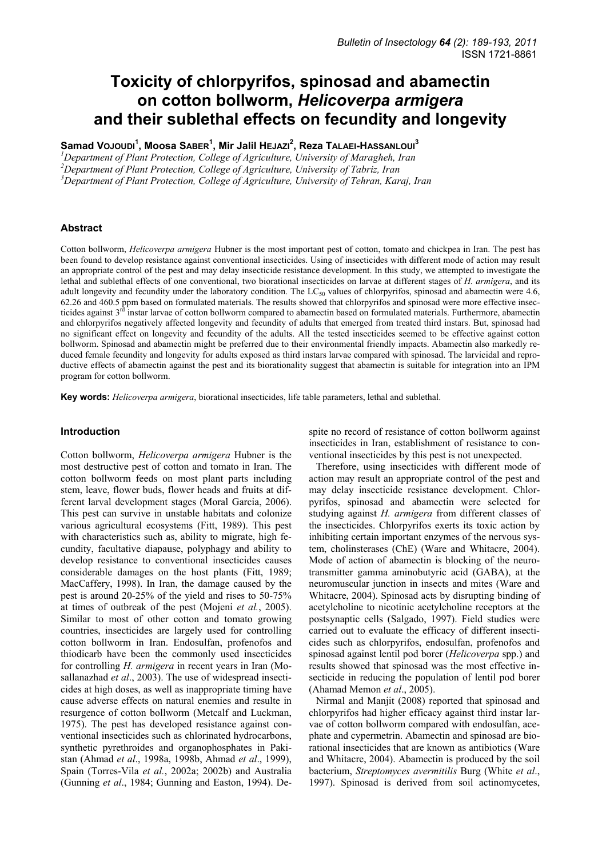# **Toxicity of chlorpyrifos, spinosad and abamectin on cotton bollworm,** *Helicoverpa armigera*  **and their sublethal effects on fecundity and longevity**

**Samad VOJOUDI<sup>1</sup> , Moosa SABER<sup>1</sup> , Mir Jalil HEJAZI<sup>2</sup> , Reza TALAEI-HASSANLOUI<sup>3</sup>**

*1 Department of Plant Protection, College of Agriculture, University of Maragheh, Iran*  <sup>2</sup> Department of Plant Protection, College of Agriculture, University of Tabriz, Iran <sup>3</sup> Department of Plant Protection, College of Agriculture, University of Tabriz, Iran <sup>3</sup>Department of Plant Protection, College of Agriculture, University of Tehran, Karaj, Iran

## **Abstract**

Cotton bollworm, *Helicoverpa armigera* Hubner is the most important pest of cotton, tomato and chickpea in Iran. The pest has been found to develop resistance against conventional insecticides. Using of insecticides with different mode of action may result an appropriate control of the pest and may delay insecticide resistance development. In this study, we attempted to investigate the lethal and sublethal effects of one conventional, two biorational insecticides on larvae at different stages of *H. armigera*, and its adult longevity and fecundity under the laboratory condition. The  $LC_{50}$  values of chlorpyrifos, spinosad and abamectin were 4.6, 62.26 and 460.5 ppm based on formulated materials. The results showed that chlorpyrifos and spinosad were more effective insecticides against 3<sup>rd</sup> instar larvae of cotton bollworm compared to abamectin based on formulated materials. Furthermore, abamectin and chlorpyrifos negatively affected longevity and fecundity of adults that emerged from treated third instars. But, spinosad had no significant effect on longevity and fecundity of the adults. All the tested insecticides seemed to be effective against cotton bollworm. Spinosad and abamectin might be preferred due to their environmental friendly impacts. Abamectin also markedly reduced female fecundity and longevity for adults exposed as third instars larvae compared with spinosad. The larvicidal and reproductive effects of abamectin against the pest and its biorationality suggest that abamectin is suitable for integration into an IPM program for cotton bollworm.

**Key words:** *Helicoverpa armigera*, biorational insecticides, life table parameters, lethal and sublethal.

# **Introduction**

Cotton bollworm, *Helicoverpa armigera* Hubner is the most destructive pest of cotton and tomato in Iran. The cotton bollworm feeds on most plant parts including stem, leave, flower buds, flower heads and fruits at different larval development stages (Moral Garcia, 2006). This pest can survive in unstable habitats and colonize various agricultural ecosystems (Fitt, 1989). This pest with characteristics such as, ability to migrate, high fecundity, facultative diapause, polyphagy and ability to develop resistance to conventional insecticides causes considerable damages on the host plants (Fitt, 1989; MacCaffery, 1998). In Iran, the damage caused by the pest is around 20-25% of the yield and rises to 50-75% at times of outbreak of the pest (Mojeni *et al.*, 2005). Similar to most of other cotton and tomato growing countries, insecticides are largely used for controlling cotton bollworm in Iran. Endosulfan, profenofos and thiodicarb have been the commonly used insecticides for controlling *H. armigera* in recent years in Iran (Mosallanazhad *et al*., 2003). The use of widespread insecticides at high doses, as well as inappropriate timing have cause adverse effects on natural enemies and resulte in resurgence of cotton bollworm (Metcalf and Luckman, 1975). The pest has developed resistance against conventional insecticides such as chlorinated hydrocarbons, synthetic pyrethroides and organophosphates in Pakistan (Ahmad *et al*., 1998a, 1998b, Ahmad *et al*., 1999), Spain (Torres-Vila *et al.*, 2002a; 2002b) and Australia (Gunning *et al*., 1984; Gunning and Easton, 1994). Despite no record of resistance of cotton bollworm against insecticides in Iran, establishment of resistance to conventional insecticides by this pest is not unexpected.

Therefore, using insecticides with different mode of action may result an appropriate control of the pest and may delay insecticide resistance development. Chlorpyrifos, spinosad and abamectin were selected for studying against *H. armigera* from different classes of the insecticides. Chlorpyrifos exerts its toxic action by inhibiting certain important enzymes of the nervous system, cholinsterases (ChE) (Ware and Whitacre, 2004). Mode of action of abamectin is blocking of the neurotransmitter gamma aminobutyric acid (GABA), at the neuromuscular junction in insects and mites (Ware and Whitacre, 2004). Spinosad acts by disrupting binding of acetylcholine to nicotinic acetylcholine receptors at the postsynaptic cells (Salgado, 1997). Field studies were carried out to evaluate the efficacy of different insecticides such as chlorpyrifos, endosulfan, profenofos and spinosad against lentil pod borer (*Helicoverpa* spp.) and results showed that spinosad was the most effective insecticide in reducing the population of lentil pod borer (Ahamad Memon *et al*., 2005).

Nirmal and Manjit (2008) reported that spinosad and chlorpyrifos had higher efficacy against third instar larvae of cotton bollworm compared with endosulfan, acephate and cypermetrin. Abamectin and spinosad are biorational insecticides that are known as antibiotics (Ware and Whitacre, 2004). Abamectin is produced by the soil bacterium, *Streptomyces avermitilis* Burg (White *et al*., 1997). Spinosad is derived from soil actinomycetes,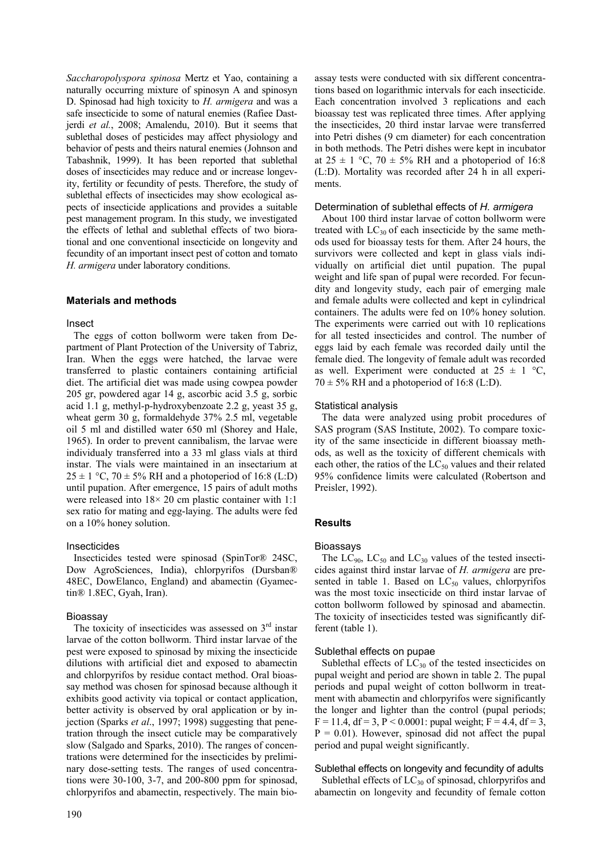*Saccharopolyspora spinosa* Mertz et Yao, containing a naturally occurring mixture of spinosyn A and spinosyn D. Spinosad had high toxicity to *H. armigera* and was a safe insecticide to some of natural enemies (Rafiee Dastjerdi *et al.*, 2008; Amalendu, 2010). But it seems that sublethal doses of pesticides may affect physiology and behavior of pests and theirs natural enemies (Johnson and Tabashnik, 1999). It has been reported that sublethal doses of insecticides may reduce and or increase longevity, fertility or fecundity of pests. Therefore, the study of sublethal effects of insecticides may show ecological aspects of insecticide applications and provides a suitable pest management program. In this study, we investigated the effects of lethal and sublethal effects of two biorational and one conventional insecticide on longevity and fecundity of an important insect pest of cotton and tomato *H. armigera* under laboratory conditions.

## **Materials and methods**

## Insect

The eggs of cotton bollworm were taken from Department of Plant Protection of the University of Tabriz, Iran. When the eggs were hatched, the larvae were transferred to plastic containers containing artificial diet. The artificial diet was made using cowpea powder 205 gr, powdered agar 14 g, ascorbic acid 3.5 g, sorbic acid 1.1 g, methyl-p-hydroxybenzoate 2.2 g, yeast 35 g, wheat germ 30 g, formaldehyde 37% 2.5 ml, vegetable oil 5 ml and distilled water 650 ml (Shorey and Hale, 1965). In order to prevent cannibalism, the larvae were individualy transferred into a 33 ml glass vials at third instar. The vials were maintained in an insectarium at  $25 \pm 1$  °C,  $70 \pm 5\%$  RH and a photoperiod of 16:8 (L:D) until pupation. After emergence, 15 pairs of adult moths were released into  $18 \times 20$  cm plastic container with 1:1 sex ratio for mating and egg-laying. The adults were fed on a 10% honey solution.

## Insecticides

Insecticides tested were spinosad (SpinTor® 24SC, Dow AgroSciences, India), chlorpyrifos (Dursban® 48EC, DowElanco, England) and abamectin (Gyamectin® 1.8EC, Gyah, Iran).

## Bioassay

The toxicity of insecticides was assessed on  $3<sup>rd</sup>$  instar larvae of the cotton bollworm. Third instar larvae of the pest were exposed to spinosad by mixing the insecticide dilutions with artificial diet and exposed to abamectin and chlorpyrifos by residue contact method. Oral bioassay method was chosen for spinosad because although it exhibits good activity via topical or contact application, better activity is observed by oral application or by injection (Sparks *et al*., 1997; 1998) suggesting that penetration through the insect cuticle may be comparatively slow (Salgado and Sparks, 2010). The ranges of concentrations were determined for the insecticides by preliminary dose-setting tests. The ranges of used concentrations were 30-100, 3-7, and 200-800 ppm for spinosad, chlorpyrifos and abamectin, respectively. The main bioassay tests were conducted with six different concentrations based on logarithmic intervals for each insecticide. Each concentration involved 3 replications and each bioassay test was replicated three times. After applying the insecticides, 20 third instar larvae were transferred into Petri dishes (9 cm diameter) for each concentration in both methods. The Petri dishes were kept in incubator at  $25 \pm 1$  °C,  $70 \pm 5\%$  RH and a photoperiod of 16:8 (L:D). Mortality was recorded after 24 h in all experiments.

#### Determination of sublethal effects of *H. armigera*

About 100 third instar larvae of cotton bollworm were treated with  $LC_{30}$  of each insecticide by the same methods used for bioassay tests for them. After 24 hours, the survivors were collected and kept in glass vials individually on artificial diet until pupation. The pupal weight and life span of pupal were recorded. For fecundity and longevity study, each pair of emerging male and female adults were collected and kept in cylindrical containers. The adults were fed on 10% honey solution. The experiments were carried out with 10 replications for all tested insecticides and control. The number of eggs laid by each female was recorded daily until the female died. The longevity of female adult was recorded as well. Experiment were conducted at  $25 \pm 1$  °C,  $70 \pm 5\%$  RH and a photoperiod of 16:8 (L:D).

#### Statistical analysis

The data were analyzed using probit procedures of SAS program (SAS Institute, 2002). To compare toxicity of the same insecticide in different bioassay methods, as well as the toxicity of different chemicals with each other, the ratios of the  $LC_{50}$  values and their related 95% confidence limits were calculated (Robertson and Preisler, 1992).

## **Results**

#### Bioassays

The  $LC_{90}$ ,  $LC_{50}$  and  $LC_{30}$  values of the tested insecticides against third instar larvae of *H. armigera* are presented in table 1. Based on  $LC_{50}$  values, chlorpyrifos was the most toxic insecticide on third instar larvae of cotton bollworm followed by spinosad and abamectin. The toxicity of insecticides tested was significantly different (table 1).

#### Sublethal effects on pupae

Sublethal effects of  $LC_{30}$  of the tested insecticides on pupal weight and period are shown in table 2. The pupal periods and pupal weight of cotton bollworm in treatment with abamectin and chlorpyrifos were significantly the longer and lighter than the control (pupal periods;  $F = 11.4$ , df = 3, P < 0.0001: pupal weight; F = 4.4, df = 3,  $P = 0.01$ ). However, spinosad did not affect the pupal period and pupal weight significantly.

## Sublethal effects on longevity and fecundity of adults

Sublethal effects of  $LC_{30}$  of spinosad, chlorpyrifos and abamectin on longevity and fecundity of female cotton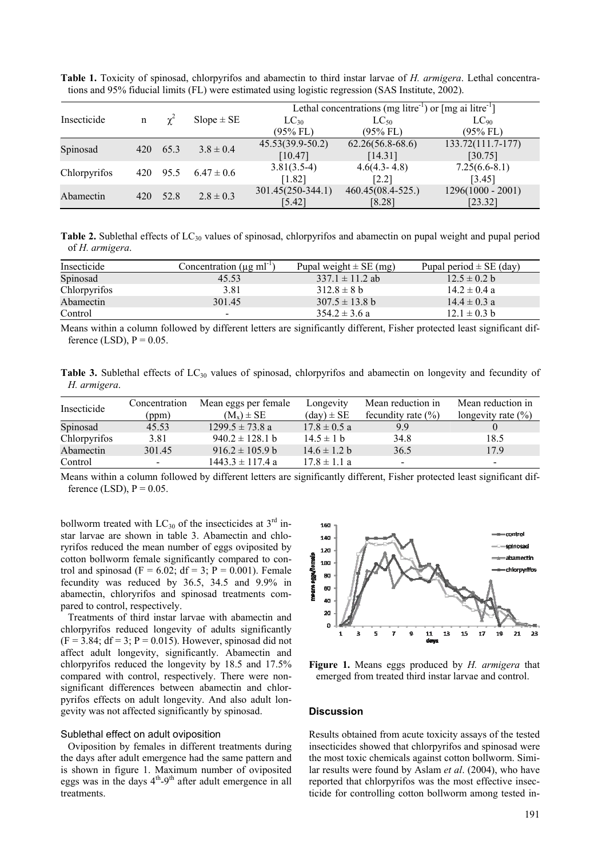|              |             |            |                | Lethal concentrations (mg litre <sup>-1</sup> ) or [mg ai litre <sup>-1</sup> ] |                    |                     |  |
|--------------|-------------|------------|----------------|---------------------------------------------------------------------------------|--------------------|---------------------|--|
| Insecticide  | $\mathbf n$ | $\gamma^2$ | $Slope \pm SE$ | $LC_{30}$                                                                       | $LC_{50}$          | $LC_{90}$           |  |
|              |             |            |                | (95% FL)                                                                        | $(95\%$ FL)        | $(95\%$ FL)         |  |
| Spinosad     | 420         | 65.3       | $3.8 \pm 0.4$  | $45.53(39.9-50.2)$                                                              | $62.26(56.8-68.6)$ | 133.72(111.7-177)   |  |
|              |             |            |                | [10.47]                                                                         | [14.31]            | [30.75]             |  |
| Chlorpyrifos |             | 420 95.5   | $6.47 \pm 0.6$ | $3.81(3.5-4)$                                                                   | $4.6(4.3 - 4.8)$   | $7.25(6.6-8.1)$     |  |
|              |             |            |                | [1.82]                                                                          | [2.2]              | [3.45]              |  |
| Abamectin    | 420         | 52.8       | $2.8 \pm 0.3$  | $301.45(250-344.1)$                                                             | $460.45(08.4-525)$ | $1296(1000 - 2001)$ |  |
|              |             |            |                | $[5.42]$                                                                        | $[8.28]$           | [23.32]             |  |

**Table 1.** Toxicity of spinosad, chlorpyrifos and abamectin to third instar larvae of *H. armigera*. Lethal concentrations and 95% fiducial limits (FL) were estimated using logistic regression (SAS Institute, 2002).

**Table 2.** Sublethal effects of LC<sub>30</sub> values of spinosad, chlorpyrifos and abamectin on pupal weight and pupal period of *H. armigera*.

| Insecticide  | Concentration ( $\mu$ g ml <sup>-1</sup> ) | Pupal weight $\pm$ SE (mg) | Pupal period $\pm$ SE (day) |
|--------------|--------------------------------------------|----------------------------|-----------------------------|
| Spinosad     | 45.53                                      | $337.1 \pm 11.2$ ab        | $12.5 \pm 0.2$ b            |
| Chlorpyrifos | 3.81                                       | $312.8 \pm 8 h$            | $14.2 \pm 0.4$ a            |
| Abamectin    | 301.45                                     | $307.5 \pm 13.8$ b         | $14.4 \pm 0.3$ a            |
| Control      | $\overline{\phantom{0}}$                   | $354.2 \pm 3.6 a$          | $12.1 \pm 0.3$ b            |

Means within a column followed by different letters are significantly different, Fisher protected least significant difference (LSD),  $P = 0.05$ .

**Table 3.** Sublethal effects of LC<sub>30</sub> values of spinosad, chlorpyrifos and abamectin on longevity and fecundity of *H. armigera*.

| Insecticide  | Concentration<br>(ppm)   | Mean eggs per female<br>$(M_x) \pm SE$ | Longevity<br>$(\text{day}) \pm \text{SE}$ | Mean reduction in<br>fecundity rate $(\% )$ | Mean reduction in<br>longevity rate $(\% )$ |
|--------------|--------------------------|----------------------------------------|-------------------------------------------|---------------------------------------------|---------------------------------------------|
| Spinosad     | 45.53                    | $1299.5 \pm 73.8$ a                    | $17.8 \pm 0.5$ a                          | 9.9                                         |                                             |
| Chlorpyrifos | 3.81                     | $940.2 \pm 128.1$ b                    | $14.5 \pm 1$ b                            | 34.8                                        | 18.5                                        |
| Abamectin    | 301.45                   | $916.2 \pm 105.9 b$                    | $14.6 \pm 1.2 b$                          | 36.5                                        | 17.9                                        |
| Control      | $\overline{\phantom{0}}$ | $1443.3 \pm 117.4$ a                   | $17.8 \pm 1.1 a$                          | $\overline{\phantom{a}}$                    | $\overline{\phantom{0}}$                    |

Means within a column followed by different letters are significantly different, Fisher protected least significant difference (LSD),  $P = 0.05$ .

bollworm treated with  $LC_{30}$  of the insecticides at  $3<sup>rd</sup>$  instar larvae are shown in table 3. Abamectin and chloryrifos reduced the mean number of eggs oviposited by cotton bollworm female significantly compared to control and spinosad (F = 6.02; df = 3; P = 0.001). Female fecundity was reduced by 36.5, 34.5 and 9.9% in abamectin, chloryrifos and spinosad treatments compared to control, respectively.

Treatments of third instar larvae with abamectin and chlorpyrifos reduced longevity of adults significantly  $(F = 3.84; df = 3; P = 0.015)$ . However, spinosad did not affect adult longevity, significantly. Abamectin and chlorpyrifos reduced the longevity by 18.5 and 17.5% compared with control, respectively. There were nonsignificant differences between abamectin and chlorpyrifos effects on adult longevity. And also adult longevity was not affected significantly by spinosad.

#### Sublethal effect on adult oviposition

Oviposition by females in different treatments during the days after adult emergence had the same pattern and is shown in figure 1. Maximum number of oviposited eggs was in the days  $4<sup>th</sup>-9<sup>th</sup>$  after adult emergence in all treatments.



**Figure 1.** Means eggs produced by *H. armigera* that emerged from treated third instar larvae and control.

# **Discussion**

Results obtained from acute toxicity assays of the tested insecticides showed that chlorpyrifos and spinosad were the most toxic chemicals against cotton bollworm. Similar results were found by Aslam *et al*. (2004), who have reported that chlorpyrifos was the most effective insecticide for controlling cotton bollworm among tested in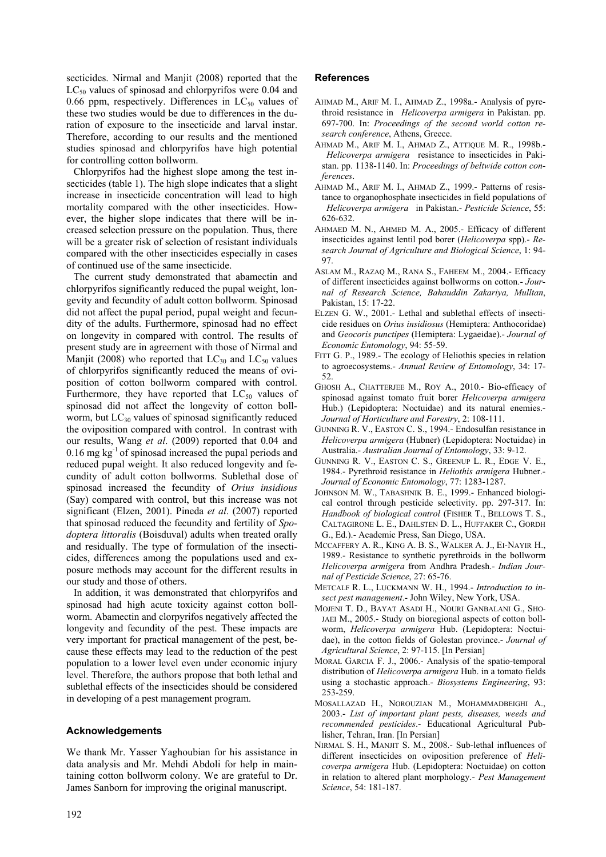secticides. Nirmal and Manjit (2008) reported that the  $LC_{50}$  values of spinosad and chlorpyrifos were 0.04 and 0.66 ppm, respectively. Differences in  $LC_{50}$  values of these two studies would be due to differences in the duration of exposure to the insecticide and larval instar. Therefore, according to our results and the mentioned studies spinosad and chlorpyrifos have high potential for controlling cotton bollworm.

Chlorpyrifos had the highest slope among the test insecticides (table 1). The high slope indicates that a slight increase in insecticide concentration will lead to high mortality compared with the other insecticides. However, the higher slope indicates that there will be increased selection pressure on the population. Thus, there will be a greater risk of selection of resistant individuals compared with the other insecticides especially in cases of continued use of the same insecticide.

The current study demonstrated that abamectin and chlorpyrifos significantly reduced the pupal weight, longevity and fecundity of adult cotton bollworm. Spinosad did not affect the pupal period, pupal weight and fecundity of the adults. Furthermore, spinosad had no effect on longevity in compared with control. The results of present study are in agreement with those of Nirmal and Manjit (2008) who reported that  $LC_{30}$  and  $LC_{50}$  values of chlorpyrifos significantly reduced the means of oviposition of cotton bollworm compared with control. Furthermore, they have reported that  $LC_{50}$  values of spinosad did not affect the longevity of cotton bollworm, but  $LC_{30}$  values of spinosad significantly reduced the oviposition compared with control. In contrast with our results, Wang *et al*. (2009) reported that 0.04 and  $0.16$  mg kg<sup>-1</sup> of spinosad increased the pupal periods and reduced pupal weight. It also reduced longevity and fecundity of adult cotton bollworms. Sublethal dose of spinosad increased the fecundity of *Orius insidious* (Say) compared with control, but this increase was not significant (Elzen, 2001). Pineda *et al*. (2007) reported that spinosad reduced the fecundity and fertility of *Spodoptera littoralis* (Boisduval) adults when treated orally and residually. The type of formulation of the insecticides, differences among the populations used and exposure methods may account for the different results in our study and those of others.

In addition, it was demonstrated that chlorpyrifos and spinosad had high acute toxicity against cotton bollworm. Abamectin and clorpyrifos negatively affected the longevity and fecundity of the pest. These impacts are very important for practical management of the pest, because these effects may lead to the reduction of the pest population to a lower level even under economic injury level. Therefore, the authors propose that both lethal and sublethal effects of the insecticides should be considered in developing of a pest management program.

# **Acknowledgements**

We thank Mr. Yasser Yaghoubian for his assistance in data analysis and Mr. Mehdi Abdoli for help in maintaining cotton bollworm colony. We are grateful to Dr. James Sanborn for improving the original manuscript.

# **References**

- AHMAD M., ARIF M. I., AHMAD Z., 1998a.- Analysis of pyrethroid resistance in *Helicoverpa armigera* in Pakistan. pp. 697-700. In: *Proceedings of the second world cotton research conference*, Athens, Greece.
- AHMAD M., ARIF M. I., AHMAD Z., ATTIQUE M. R., 1998b.- *Helicoverpa armigera* resistance to insecticides in Pakistan. pp. 1138-1140. In: *Proceedings of beltwide cotton conferences*.
- AHMAD M., ARIF M. I., AHMAD Z., 1999.- Patterns of resistance to organophosphate insecticides in field populations of *Helicoverpa armigera* in Pakistan.- *Pesticide Science*, 55: 626-632.
- AHMAED M. N., AHMED M. A., 2005.- Efficacy of different insecticides against lentil pod borer (*Helicoverpa* spp).- *Research Journal of Agriculture and Biological Science*, 1: 94- 97.
- ASLAM M., RAZAQ M., RANA S., FAHEEM M., 2004.- Efficacy of different insecticides against bollworms on cotton.- *Journal of Research Science, Bahauddin Zakariya, Mulltan*, Pakistan, 15: 17-22.
- ELZEN G. W., 2001.- Lethal and sublethal effects of insecticide residues on *Orius insidiosus* (Hemiptera: Anthocoridae) and *Geocoris punctipes* (Hemiptera: Lygaeidae).- *Journal of Economic Entomology*, 94: 55-59.
- FITT G. P., 1989.- The ecology of Heliothis species in relation to agroecosystems.- *Annual Review of Entomology*, 34: 17- 52.
- GHOSH A., CHATTERJEE M., ROY A., 2010.- Bio-efficacy of spinosad against tomato fruit borer *Helicoverpa armigera* Hub.) (Lepidoptera: Noctuidae) and its natural enemies.- *Journal of Horticulture and Forestry*, 2: 108-111.
- GUNNING R. V., EASTON C. S., 1994.- Endosulfan resistance in *Helicoverpa armigera* (Hubner) (Lepidoptera: Noctuidae) in Australia.- *Australian Journal of Entomology*, 33: 9-12.
- GUNNING R. V., EASTON C. S., GREENUP L. R., EDGE V. E., 1984.- Pyrethroid resistance in *Heliothis armigera* Hubner.- *Journal of Economic Entomology*, 77: 1283-1287.
- JOHNSON M. W., TABASHNIK B. E., 1999.- Enhanced biological control through pesticide selectivity. pp. 297-317. In: *Handbook of biological control* (FISHER T., BELLOWS T. S., CALTAGIRONE L. E., DAHLSTEN D. L., HUFFAKER C., GORDH G., Ed.).- Academic Press, San Diego, USA.
- MCCAFFERY A. R., KING A. B. S., WALKER A. J., EI-NAYIR H., 1989.- Resistance to synthetic pyrethroids in the bollworm *Helicoverpa armigera* from Andhra Pradesh.- *Indian Journal of Pesticide Science*, 27: 65-76.
- METCALF R. L., LUCKMANN W. H., 1994.- *Introduction to insect pest management*.- John Wiley, New York, USA.
- MOJENI T. D., BAYAT ASADI H., NOURI GANBALANI G., SHO-JAEI M., 2005.- Study on bioregional aspects of cotton bollworm, *Helicoverpa armigera* Hub. (Lepidoptera: Noctuidae), in the cotton fields of Golestan province.- *Journal of Agricultural Science*, 2: 97-115. [In Persian]
- MORAL GARCIA F. J., 2006.- Analysis of the spatio-temporal distribution of *Helicoverpa armigera* Hub. in a tomato fields using a stochastic approach.- *Biosystems Engineering*, 93: 253-259.
- MOSALLAZAD H., NOROUZIAN M., MOHAMMADBEIGHI A., 2003.- *List of important plant pests, diseases, weeds and recommended pesticides*.- Educational Agricultural Publisher, Tehran, Iran. [In Persian]
- NIRMAL S. H., MANJIT S. M., 2008.- Sub-lethal influences of different insecticides on oviposition preference of *Helicoverpa armigera* Hub. (Lepidoptera: Noctuidae) on cotton in relation to altered plant morphology.- *Pest Management Science*, 54: 181-187.